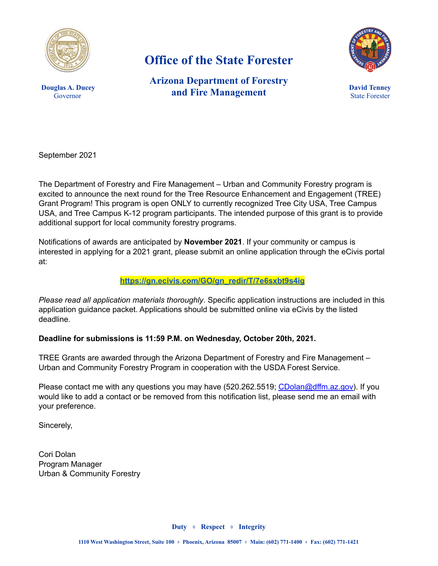

# **Office of the State Forester**



**Douglas A. Ducey** Governor

**Arizona Department of Forestry and Fire Management**

**David Tenney** State Forester

September 2021

The Department of Forestry and Fire Management – Urban and Community Forestry program is excited to announce the next round for the Tree Resource Enhancement and Engagement (TREE) Grant Program! This program is open ONLY to currently recognized Tree City USA, Tree Campus USA, and Tree Campus K-12 program participants. The intended purpose of this grant is to provide additional support for local community forestry programs.

Notifications of awards are anticipated by **November 2021**. If your community or campus is interested in applying for a 2021 grant, please submit an online application through the eCivis portal at:

#### **[https://gn.ecivis.com/GO/gn\\_redir/T/7e6sxbt9s4ig](https://gn.ecivis.com/GO/gn_redir/T/7e6sxbt9s4ig)**

*Please read all application materials thoroughly*. Specific application instructions are included in this application guidance packet. Applications should be submitted online via eCivis by the listed deadline.

#### **Deadline for submissions is 11:59 P.M. on Wednesday, October 20th, 2021.**

TREE Grants are awarded through the Arizona Department of Forestry and Fire Management – Urban and Community Forestry Program in cooperation with the USDA Forest Service.

Please contact me with any questions you may have (520.262.5519; [CDolan@dffm.az.gov\)](mailto:CDolan@dffm.az.gov). If you would like to add a contact or be removed from this notification list, please send me an email with your preference.

Sincerely,

Cori Dolan Program Manager Urban & Community Forestry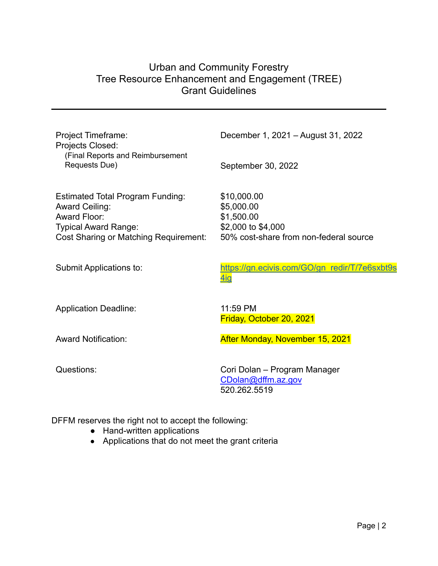# Urban and Community Forestry Tree Resource Enhancement and Engagement (TREE) Grant Guidelines

| Project Timeframe:<br>Projects Closed:<br>(Final Reports and Reimbursement | December 1, 2021 - August 31, 2022                                 |
|----------------------------------------------------------------------------|--------------------------------------------------------------------|
| Requests Due)                                                              | September 30, 2022                                                 |
| <b>Estimated Total Program Funding:</b><br>Award Ceiling:                  | \$10,000.00<br>\$5,000.00                                          |
| Award Floor:                                                               | \$1,500.00                                                         |
| <b>Typical Award Range:</b>                                                | \$2,000 to \$4,000                                                 |
| Cost Sharing or Matching Requirement:                                      | 50% cost-share from non-federal source                             |
| Submit Applications to:                                                    | https://gn.ecivis.com/GO/gn_redir/T/7e6sxbt9s<br>4ig               |
| <b>Application Deadline:</b>                                               | 11:59 PM<br>Friday, October 20, 2021                               |
| <b>Award Notification:</b>                                                 | After Monday, November 15, 2021                                    |
| Questions:                                                                 | Cori Dolan – Program Manager<br>CDolan@dffm.az.gov<br>520.262.5519 |

DFFM reserves the right not to accept the following:

- Hand-written applications
- Applications that do not meet the grant criteria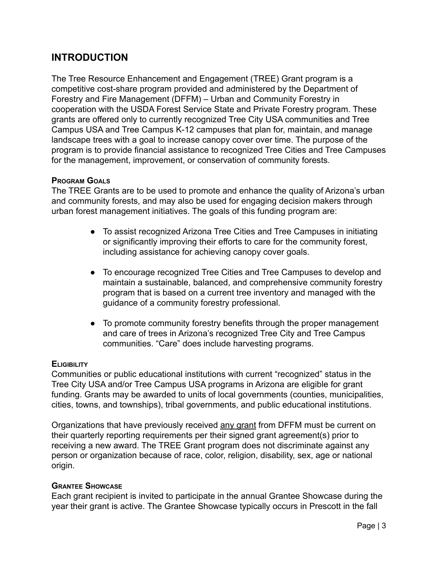# **INTRODUCTION**

The Tree Resource Enhancement and Engagement (TREE) Grant program is a competitive cost-share program provided and administered by the Department of Forestry and Fire Management (DFFM) – Urban and Community Forestry in cooperation with the USDA Forest Service State and Private Forestry program. These grants are offered only to currently recognized Tree City USA communities and Tree Campus USA and Tree Campus K-12 campuses that plan for, maintain, and manage landscape trees with a goal to increase canopy cover over time. The purpose of the program is to provide financial assistance to recognized Tree Cities and Tree Campuses for the management, improvement, or conservation of community forests.

#### **PROGRAM GOALS**

The TREE Grants are to be used to promote and enhance the quality of Arizona's urban and community forests, and may also be used for engaging decision makers through urban forest management initiatives. The goals of this funding program are:

- To assist recognized Arizona Tree Cities and Tree Campuses in initiating or significantly improving their efforts to care for the community forest, including assistance for achieving canopy cover goals.
- To encourage recognized Tree Cities and Tree Campuses to develop and maintain a sustainable, balanced, and comprehensive community forestry program that is based on a current tree inventory and managed with the guidance of a community forestry professional.
- To promote community forestry benefits through the proper management and care of trees in Arizona's recognized Tree City and Tree Campus communities. "Care" does include harvesting programs.

#### **ELIGIBILITY**

Communities or public educational institutions with current "recognized" status in the Tree City USA and/or Tree Campus USA programs in Arizona are eligible for grant funding. Grants may be awarded to units of local governments (counties, municipalities, cities, towns, and townships), tribal governments, and public educational institutions.

Organizations that have previously received any grant from DFFM must be current on their quarterly reporting requirements per their signed grant agreement(s) prior to receiving a new award. The TREE Grant program does not discriminate against any person or organization because of race, color, religion, disability, sex, age or national origin.

#### **GRANTEE SHOWCASE**

Each grant recipient is invited to participate in the annual Grantee Showcase during the year their grant is active. The Grantee Showcase typically occurs in Prescott in the fall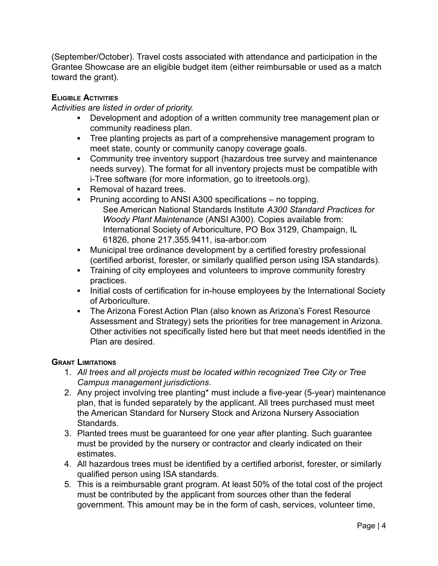(September/October). Travel costs associated with attendance and participation in the Grantee Showcase are an eligible budget item (either reimbursable or used as a match toward the grant).

# **ELIGIBLE ACTIVITIES**

*Activities are listed in order of priority.*

- **▪** Development and adoption of a written community tree management plan or community readiness plan.
- **▪** Tree planting projects as part of a comprehensive management program to meet state, county or community canopy coverage goals.
- **•** Community tree inventory support (hazardous tree survey and maintenance needs survey). The format for all inventory projects must be compatible with i-Tree software (for more information, go to itreetools.org).
- **▪** Removal of hazard trees.
- **▪** Pruning according to ANSI A300 specifications no topping. See American National Standards Institute *A300 Standard Practices for Woody Plant Maintenance* (ANSI A300). Copies available from: International Society of Arboriculture, PO Box 3129, Champaign, IL 61826, phone 217.355.9411, isa-arbor.com
- **▪** Municipal tree ordinance development by a certified forestry professional (certified arborist, forester, or similarly qualified person using ISA standards).
- **■** Training of city employees and volunteers to improve community forestry practices.
- **■** Initial costs of certification for in-house employees by the International Society of Arboriculture.
- **▪** The Arizona Forest Action Plan (also known as Arizona's Forest Resource Assessment and Strategy) sets the priorities for tree management in Arizona. Other activities not specifically listed here but that meet needs identified in the Plan are desired.

#### **GRANT LIMITATIONS**

- 1. *All trees and all projects must be located within recognized Tree City or Tree Campus management jurisdictions*.
- 2. Any project involving tree planting\* must include a five-year (5-year) maintenance plan, that is funded separately by the applicant. All trees purchased must meet the American Standard for Nursery Stock and Arizona Nursery Association **Standards**
- 3. Planted trees must be guaranteed for one year after planting. Such guarantee must be provided by the nursery or contractor and clearly indicated on their estimates.
- 4. All hazardous trees must be identified by a certified arborist, forester, or similarly qualified person using ISA standards.
- 5. This is a reimbursable grant program. At least 50% of the total cost of the project must be contributed by the applicant from sources other than the federal government. This amount may be in the form of cash, services, volunteer time,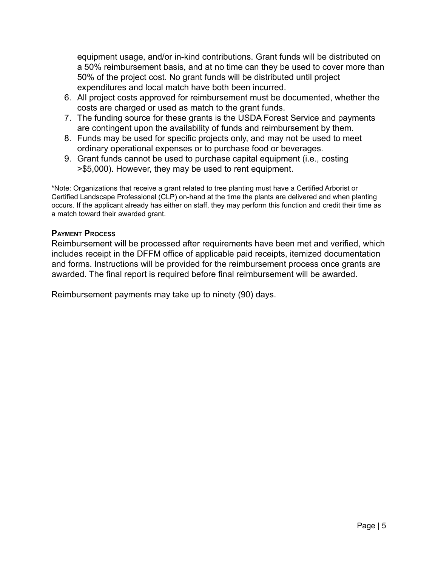equipment usage, and/or in-kind contributions. Grant funds will be distributed on a 50% reimbursement basis, and at no time can they be used to cover more than 50% of the project cost. No grant funds will be distributed until project expenditures and local match have both been incurred.

- 6. All project costs approved for reimbursement must be documented, whether the costs are charged or used as match to the grant funds.
- 7. The funding source for these grants is the USDA Forest Service and payments are contingent upon the availability of funds and reimbursement by them.
- 8. Funds may be used for specific projects only, and may not be used to meet ordinary operational expenses or to purchase food or beverages.
- 9. Grant funds cannot be used to purchase capital equipment (i.e., costing >\$5,000). However, they may be used to rent equipment.

\*Note: Organizations that receive a grant related to tree planting must have a Certified Arborist or Certified Landscape Professional (CLP) on-hand at the time the plants are delivered and when planting occurs. If the applicant already has either on staff, they may perform this function and credit their time as a match toward their awarded grant.

#### **PAYMENT PROCESS**

Reimbursement will be processed after requirements have been met and verified, which includes receipt in the DFFM office of applicable paid receipts, itemized documentation and forms. Instructions will be provided for the reimbursement process once grants are awarded. The final report is required before final reimbursement will be awarded.

Reimbursement payments may take up to ninety (90) days.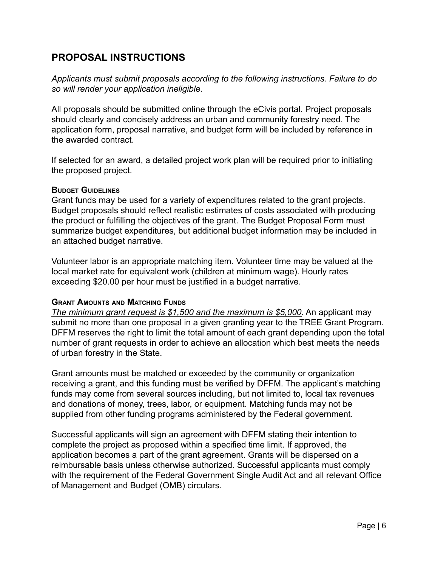# **PROPOSAL INSTRUCTIONS**

*Applicants must submit proposals according to the following instructions. Failure to do so will render your application ineligible.*

All proposals should be submitted online through the eCivis portal. Project proposals should clearly and concisely address an urban and community forestry need. The application form, proposal narrative, and budget form will be included by reference in the awarded contract.

If selected for an award, a detailed project work plan will be required prior to initiating the proposed project.

#### **BUDGET GUIDELINES**

Grant funds may be used for a variety of expenditures related to the grant projects. Budget proposals should reflect realistic estimates of costs associated with producing the product or fulfilling the objectives of the grant. The Budget Proposal Form must summarize budget expenditures, but additional budget information may be included in an attached budget narrative.

Volunteer labor is an appropriate matching item. Volunteer time may be valued at the local market rate for equivalent work (children at minimum wage). Hourly rates exceeding \$20.00 per hour must be justified in a budget narrative.

#### **GRANT AMOUNTS AND MATCHING FUNDS**

*The minimum grant request is \$1,500 and the maximum is \$5,000*. An applicant may submit no more than one proposal in a given granting year to the TREE Grant Program. DFFM reserves the right to limit the total amount of each grant depending upon the total number of grant requests in order to achieve an allocation which best meets the needs of urban forestry in the State.

Grant amounts must be matched or exceeded by the community or organization receiving a grant, and this funding must be verified by DFFM. The applicant's matching funds may come from several sources including, but not limited to, local tax revenues and donations of money, trees, labor, or equipment. Matching funds may not be supplied from other funding programs administered by the Federal government.

Successful applicants will sign an agreement with DFFM stating their intention to complete the project as proposed within a specified time limit. If approved, the application becomes a part of the grant agreement. Grants will be dispersed on a reimbursable basis unless otherwise authorized. Successful applicants must comply with the requirement of the Federal Government Single Audit Act and all relevant Office of Management and Budget (OMB) circulars.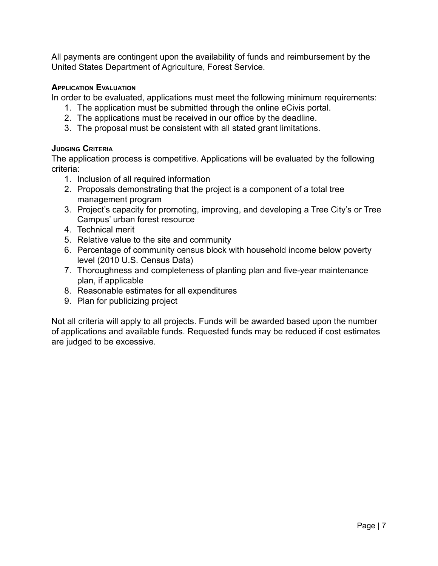All payments are contingent upon the availability of funds and reimbursement by the United States Department of Agriculture, Forest Service.

# **APPLICATION EVALUATION**

In order to be evaluated, applications must meet the following minimum requirements:

- 1. The application must be submitted through the online eCivis portal.
- 2. The applications must be received in our office by the deadline.
- 3. The proposal must be consistent with all stated grant limitations.

# **JUDGING CRITERIA**

The application process is competitive. Applications will be evaluated by the following criteria:

- 1. Inclusion of all required information
- 2. Proposals demonstrating that the project is a component of a total tree management program
- 3. Project's capacity for promoting, improving, and developing a Tree City's or Tree Campus' urban forest resource
- 4. Technical merit
- 5. Relative value to the site and community
- 6. Percentage of community census block with household income below poverty level (2010 U.S. Census Data)
- 7. Thoroughness and completeness of planting plan and five-year maintenance plan, if applicable
- 8. Reasonable estimates for all expenditures
- 9. Plan for publicizing project

Not all criteria will apply to all projects. Funds will be awarded based upon the number of applications and available funds. Requested funds may be reduced if cost estimates are judged to be excessive.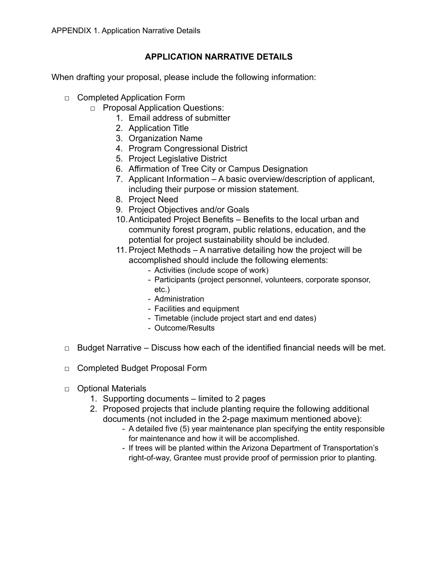# **APPLICATION NARRATIVE DETAILS**

When drafting your proposal, please include the following information:

- □ Completed Application Form
	- □ Proposal Application Questions:
		- 1. Email address of submitter
		- 2. Application Title
		- 3. Organization Name
		- 4. Program Congressional District
		- 5. Project Legislative District
		- 6. Affirmation of Tree City or Campus Designation
		- 7. Applicant Information A basic overview/description of applicant, including their purpose or mission statement.
		- 8. Project Need
		- 9. Project Objectives and/or Goals
		- 10.Anticipated Project Benefits Benefits to the local urban and community forest program, public relations, education, and the potential for project sustainability should be included.
		- 11. Project Methods A narrative detailing how the project will be accomplished should include the following elements:
			- Activities (include scope of work)
			- Participants (project personnel, volunteers, corporate sponsor, etc.)
			- Administration
			- Facilities and equipment
			- Timetable (include project start and end dates)
			- Outcome/Results
- $\Box$  Budget Narrative Discuss how each of the identified financial needs will be met.
- □ Completed Budget Proposal Form
- □ Optional Materials
	- 1. Supporting documents limited to 2 pages
	- 2. Proposed projects that include planting require the following additional documents (not included in the 2-page maximum mentioned above):
		- A detailed five (5) year maintenance plan specifying the entity responsible for maintenance and how it will be accomplished.
		- If trees will be planted within the Arizona Department of Transportation's right-of-way, Grantee must provide proof of permission prior to planting.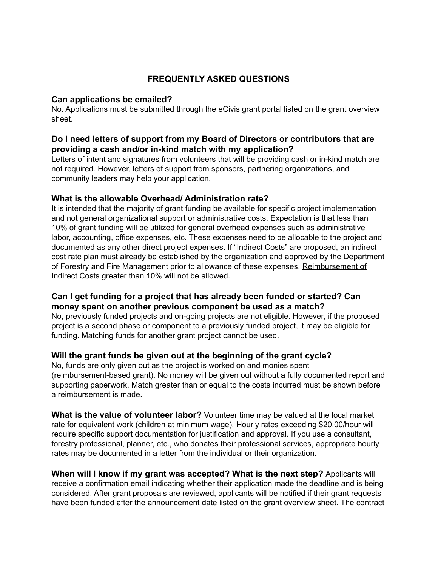# **FREQUENTLY ASKED QUESTIONS**

#### **Can applications be emailed?**

No. Applications must be submitted through the eCivis grant portal listed on the grant overview sheet.

# **Do I need letters of support from my Board of Directors or contributors that are providing a cash and/or in-kind match with my application?**

Letters of intent and signatures from volunteers that will be providing cash or in-kind match are not required. However, letters of support from sponsors, partnering organizations, and community leaders may help your application.

# **What is the allowable Overhead/ Administration rate?**

It is intended that the majority of grant funding be available for specific project implementation and not general organizational support or administrative costs. Expectation is that less than 10% of grant funding will be utilized for general overhead expenses such as administrative labor, accounting, office expenses, etc. These expenses need to be allocable to the project and documented as any other direct project expenses. If "Indirect Costs" are proposed, an indirect cost rate plan must already be established by the organization and approved by the Department of Forestry and Fire Management prior to allowance of these expenses. Reimbursement of Indirect Costs greater than 10% will not be allowed.

# **Can I get funding for a project that has already been funded or started? Can money spent on another previous component be used as a match?**

No, previously funded projects and on-going projects are not eligible. However, if the proposed project is a second phase or component to a previously funded project, it may be eligible for funding. Matching funds for another grant project cannot be used.

# **Will the grant funds be given out at the beginning of the grant cycle?**

No, funds are only given out as the project is worked on and monies spent (reimbursement-based grant). No money will be given out without a fully documented report and supporting paperwork. Match greater than or equal to the costs incurred must be shown before a reimbursement is made.

**What is the value of volunteer labor?** Volunteer time may be valued at the local market rate for equivalent work (children at minimum wage). Hourly rates exceeding \$20.00/hour will require specific support documentation for justification and approval. If you use a consultant, forestry professional, planner, etc., who donates their professional services, appropriate hourly rates may be documented in a letter from the individual or their organization.

**When will I know if my grant was accepted? What is the next step?** Applicants will receive a confirmation email indicating whether their application made the deadline and is being considered. After grant proposals are reviewed, applicants will be notified if their grant requests have been funded after the announcement date listed on the grant overview sheet. The contract